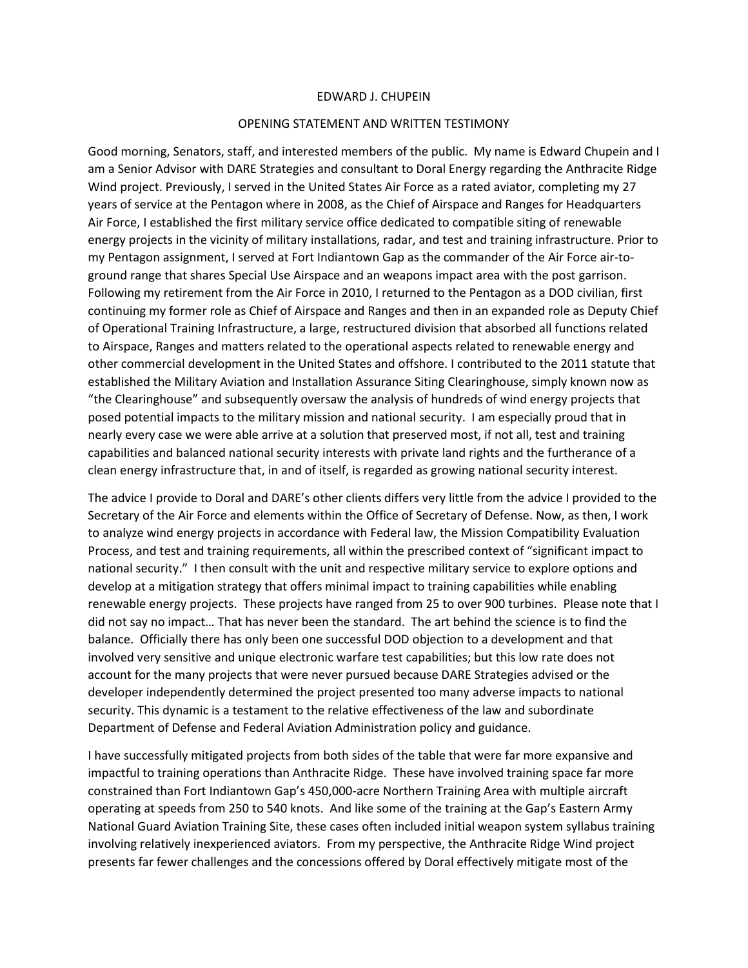## EDWARD J. CHUPEIN

## OPENING STATEMENT AND WRITTEN TESTIMONY

Good morning, Senators, staff, and interested members of the public. My name is Edward Chupein and I am a Senior Advisor with DARE Strategies and consultant to Doral Energy regarding the Anthracite Ridge Wind project. Previously, I served in the United States Air Force as a rated aviator, completing my 27 years of service at the Pentagon where in 2008, as the Chief of Airspace and Ranges for Headquarters Air Force, I established the first military service office dedicated to compatible siting of renewable energy projects in the vicinity of military installations, radar, and test and training infrastructure. Prior to my Pentagon assignment, I served at Fort Indiantown Gap as the commander of the Air Force air-toground range that shares Special Use Airspace and an weapons impact area with the post garrison. Following my retirement from the Air Force in 2010, I returned to the Pentagon as a DOD civilian, first continuing my former role as Chief of Airspace and Ranges and then in an expanded role as Deputy Chief of Operational Training Infrastructure, a large, restructured division that absorbed all functions related to Airspace, Ranges and matters related to the operational aspects related to renewable energy and other commercial development in the United States and offshore. I contributed to the 2011 statute that established the Military Aviation and Installation Assurance Siting Clearinghouse, simply known now as "the Clearinghouse" and subsequently oversaw the analysis of hundreds of wind energy projects that posed potential impacts to the military mission and national security. I am especially proud that in nearly every case we were able arrive at a solution that preserved most, if not all, test and training capabilities and balanced national security interests with private land rights and the furtherance of a clean energy infrastructure that, in and of itself, is regarded as growing national security interest.

The advice I provide to Doral and DARE's other clients differs very little from the advice I provided to the Secretary of the Air Force and elements within the Office of Secretary of Defense. Now, as then, I work to analyze wind energy projects in accordance with Federal law, the Mission Compatibility Evaluation Process, and test and training requirements, all within the prescribed context of "significant impact to national security." I then consult with the unit and respective military service to explore options and develop at a mitigation strategy that offers minimal impact to training capabilities while enabling renewable energy projects. These projects have ranged from 25 to over 900 turbines. Please note that I did not say no impact… That has never been the standard. The art behind the science is to find the balance. Officially there has only been one successful DOD objection to a development and that involved very sensitive and unique electronic warfare test capabilities; but this low rate does not account for the many projects that were never pursued because DARE Strategies advised or the developer independently determined the project presented too many adverse impacts to national security. This dynamic is a testament to the relative effectiveness of the law and subordinate Department of Defense and Federal Aviation Administration policy and guidance.

I have successfully mitigated projects from both sides of the table that were far more expansive and impactful to training operations than Anthracite Ridge. These have involved training space far more constrained than Fort Indiantown Gap's 450,000-acre Northern Training Area with multiple aircraft operating at speeds from 250 to 540 knots. And like some of the training at the Gap's Eastern Army National Guard Aviation Training Site, these cases often included initial weapon system syllabus training involving relatively inexperienced aviators. From my perspective, the Anthracite Ridge Wind project presents far fewer challenges and the concessions offered by Doral effectively mitigate most of the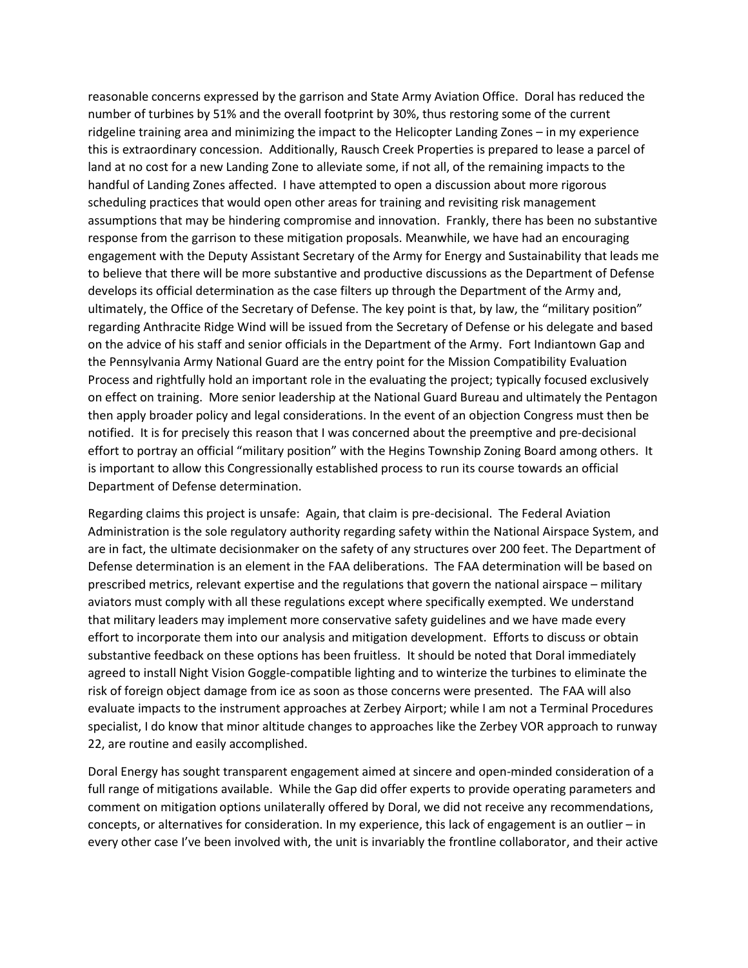reasonable concerns expressed by the garrison and State Army Aviation Office. Doral has reduced the number of turbines by 51% and the overall footprint by 30%, thus restoring some of the current ridgeline training area and minimizing the impact to the Helicopter Landing Zones – in my experience this is extraordinary concession. Additionally, Rausch Creek Properties is prepared to lease a parcel of land at no cost for a new Landing Zone to alleviate some, if not all, of the remaining impacts to the handful of Landing Zones affected. I have attempted to open a discussion about more rigorous scheduling practices that would open other areas for training and revisiting risk management assumptions that may be hindering compromise and innovation. Frankly, there has been no substantive response from the garrison to these mitigation proposals. Meanwhile, we have had an encouraging engagement with the Deputy Assistant Secretary of the Army for Energy and Sustainability that leads me to believe that there will be more substantive and productive discussions as the Department of Defense develops its official determination as the case filters up through the Department of the Army and, ultimately, the Office of the Secretary of Defense. The key point is that, by law, the "military position" regarding Anthracite Ridge Wind will be issued from the Secretary of Defense or his delegate and based on the advice of his staff and senior officials in the Department of the Army. Fort Indiantown Gap and the Pennsylvania Army National Guard are the entry point for the Mission Compatibility Evaluation Process and rightfully hold an important role in the evaluating the project; typically focused exclusively on effect on training. More senior leadership at the National Guard Bureau and ultimately the Pentagon then apply broader policy and legal considerations. In the event of an objection Congress must then be notified. It is for precisely this reason that I was concerned about the preemptive and pre-decisional effort to portray an official "military position" with the Hegins Township Zoning Board among others. It is important to allow this Congressionally established process to run its course towards an official Department of Defense determination.

Regarding claims this project is unsafe: Again, that claim is pre-decisional. The Federal Aviation Administration is the sole regulatory authority regarding safety within the National Airspace System, and are in fact, the ultimate decisionmaker on the safety of any structures over 200 feet. The Department of Defense determination is an element in the FAA deliberations. The FAA determination will be based on prescribed metrics, relevant expertise and the regulations that govern the national airspace – military aviators must comply with all these regulations except where specifically exempted. We understand that military leaders may implement more conservative safety guidelines and we have made every effort to incorporate them into our analysis and mitigation development. Efforts to discuss or obtain substantive feedback on these options has been fruitless. It should be noted that Doral immediately agreed to install Night Vision Goggle-compatible lighting and to winterize the turbines to eliminate the risk of foreign object damage from ice as soon as those concerns were presented. The FAA will also evaluate impacts to the instrument approaches at Zerbey Airport; while I am not a Terminal Procedures specialist, I do know that minor altitude changes to approaches like the Zerbey VOR approach to runway 22, are routine and easily accomplished.

Doral Energy has sought transparent engagement aimed at sincere and open-minded consideration of a full range of mitigations available. While the Gap did offer experts to provide operating parameters and comment on mitigation options unilaterally offered by Doral, we did not receive any recommendations, concepts, or alternatives for consideration. In my experience, this lack of engagement is an outlier – in every other case I've been involved with, the unit is invariably the frontline collaborator, and their active